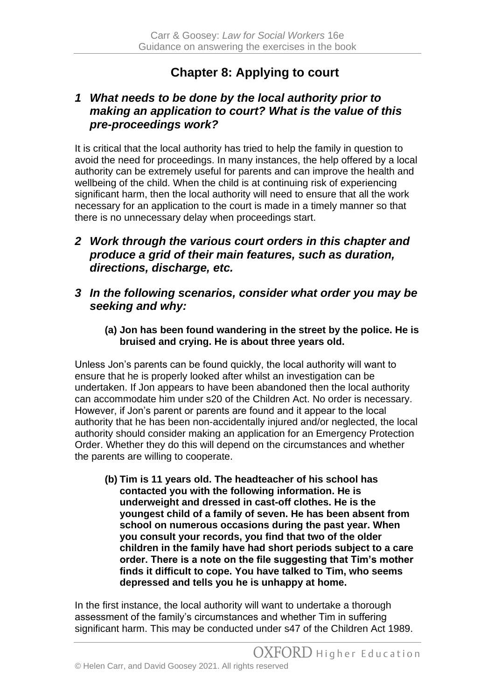## **Chapter 8: Applying to court**

## *1 What needs to be done by the local authority prior to making an application to court? What is the value of this pre-proceedings work?*

It is critical that the local authority has tried to help the family in question to avoid the need for proceedings. In many instances, the help offered by a local authority can be extremely useful for parents and can improve the health and wellbeing of the child. When the child is at continuing risk of experiencing significant harm, then the local authority will need to ensure that all the work necessary for an application to the court is made in a timely manner so that there is no unnecessary delay when proceedings start.

- *2 Work through the various court orders in this chapter and produce a grid of their main features, such as duration, directions, discharge, etc.*
- *3 In the following scenarios, consider what order you may be seeking and why:*
	- **(a) Jon has been found wandering in the street by the police. He is bruised and crying. He is about three years old.**

Unless Jon's parents can be found quickly, the local authority will want to ensure that he is properly looked after whilst an investigation can be undertaken. If Jon appears to have been abandoned then the local authority can accommodate him under s20 of the Children Act. No order is necessary. However, if Jon's parent or parents are found and it appear to the local authority that he has been non-accidentally injured and/or neglected, the local authority should consider making an application for an Emergency Protection Order. Whether they do this will depend on the circumstances and whether the parents are willing to cooperate.

**(b) Tim is 11 years old. The headteacher of his school has contacted you with the following information. He is underweight and dressed in cast-off clothes. He is the youngest child of a family of seven. He has been absent from school on numerous occasions during the past year. When you consult your records, you find that two of the older children in the family have had short periods subject to a care order. There is a note on the file suggesting that Tim's mother finds it difficult to cope. You have talked to Tim, who seems depressed and tells you he is unhappy at home.**

In the first instance, the local authority will want to undertake a thorough assessment of the family's circumstances and whether Tim in suffering significant harm. This may be conducted under s47 of the Children Act 1989.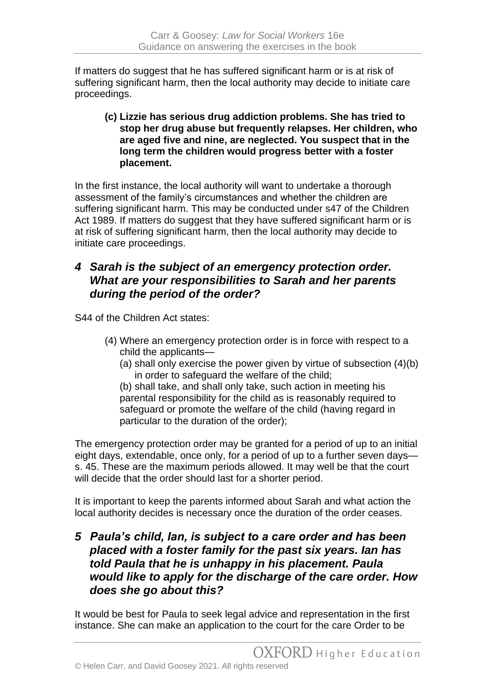If matters do suggest that he has suffered significant harm or is at risk of suffering significant harm, then the local authority may decide to initiate care proceedings.

**(c) Lizzie has serious drug addiction problems. She has tried to stop her drug abuse but frequently relapses. Her children, who are aged five and nine, are neglected. You suspect that in the long term the children would progress better with a foster placement.**

In the first instance, the local authority will want to undertake a thorough assessment of the family's circumstances and whether the children are suffering significant harm. This may be conducted under s47 of the Children Act 1989. If matters do suggest that they have suffered significant harm or is at risk of suffering significant harm, then the local authority may decide to initiate care proceedings.

## *4 Sarah is the subject of an emergency protection order. What are your responsibilities to Sarah and her parents during the period of the order?*

S44 of the Children Act states:

- (4) Where an emergency protection order is in force with respect to a child the applicants—
	- (a) shall only exercise the power given by virtue of subsection (4)(b) in order to safeguard the welfare of the child;

(b) shall take, and shall only take, such action in meeting his parental responsibility for the child as is reasonably required to safeguard or promote the welfare of the child (having regard in particular to the duration of the order);

The emergency protection order may be granted for a period of up to an initial eight days, extendable, once only, for a period of up to a further seven days s. 45. These are the maximum periods allowed. It may well be that the court will decide that the order should last for a shorter period.

It is important to keep the parents informed about Sarah and what action the local authority decides is necessary once the duration of the order ceases.

## *5 Paula's child, Ian, is subject to a care order and has been placed with a foster family for the past six years. Ian has told Paula that he is unhappy in his placement. Paula would like to apply for the discharge of the care order. How does she go about this?*

It would be best for Paula to seek legal advice and representation in the first instance. She can make an application to the court for the care Order to be